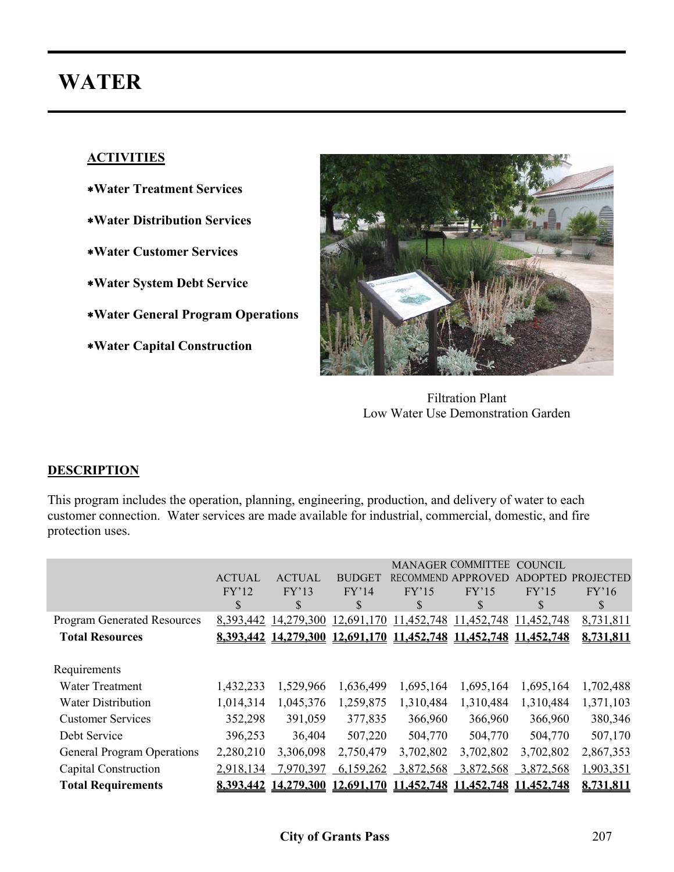# **WATER**

# **ACTIVITIES**

- ∗**Water Treatment Services**
- ∗**Water Distribution Services**
- ∗**Water Customer Services**
- ∗**Water System Debt Service**
- ∗**Water General Program Operations**
- ∗**Water Capital Construction**



Filtration Plant Low Water Use Demonstration Garden

# **DESCRIPTION**

This program includes the operation, planning, engineering, production, and delivery of water to each customer connection. Water services are made available for industrial, commercial, domestic, and fire protection uses.

|                                    |               |               |               |            | <b>MANAGER COMMITTEE</b>                                         | <b>COUNCIL</b> |                  |
|------------------------------------|---------------|---------------|---------------|------------|------------------------------------------------------------------|----------------|------------------|
|                                    | <b>ACTUAL</b> | <b>ACTUAL</b> | <b>BUDGET</b> |            | <b>RECOMMEND APPROVED</b>                                        | <b>ADOPTED</b> | <b>PROJECTED</b> |
|                                    | FY'12         | FY'13         | FY'14         | FY'15      | FY'15                                                            | FY'15          | FY'16            |
|                                    | \$            | \$            | S             | \$         | S                                                                | S              | S                |
| <b>Program Generated Resources</b> | 8,393,442     | 14,279,300    | 12,691,170    | 11,452,748 | 11,452,748                                                       | 11,452,748     | 8,731,811        |
| <b>Total Resources</b>             |               |               |               |            | 8.393.442 14.279.300 12.691.170 11.452.748 11.452.748 11.452.748 |                | 8,731,811        |
|                                    |               |               |               |            |                                                                  |                |                  |
| Requirements                       |               |               |               |            |                                                                  |                |                  |
| <b>Water Treatment</b>             | 1,432,233     | 1,529,966     | 1,636,499     | 1,695,164  | 1,695,164                                                        | 1,695,164      | 1,702,488        |
| <b>Water Distribution</b>          | 1,014,314     | 1,045,376     | 1,259,875     | 1,310,484  | 1,310,484                                                        | 1,310,484      | 1,371,103        |
| <b>Customer Services</b>           | 352,298       | 391,059       | 377,835       | 366,960    | 366,960                                                          | 366,960        | 380,346          |
| Debt Service                       | 396,253       | 36,404        | 507,220       | 504,770    | 504,770                                                          | 504,770        | 507,170          |
| <b>General Program Operations</b>  | 2,280,210     | 3,306,098     | 2,750,479     | 3,702,802  | 3,702,802                                                        | 3,702,802      | 2,867,353        |
| Capital Construction               | 2,918,134     | 7,970,397     | 6,159,262     | 3,872,568  | 3,872,568                                                        | 3,872,568      | 1,903,351        |
| <b>Total Requirements</b>          | 8.393.442     | 14.279.300    | 12.691.170    | 11,452,748 | 11.452.748                                                       | 11,452,748     | 8.731,811        |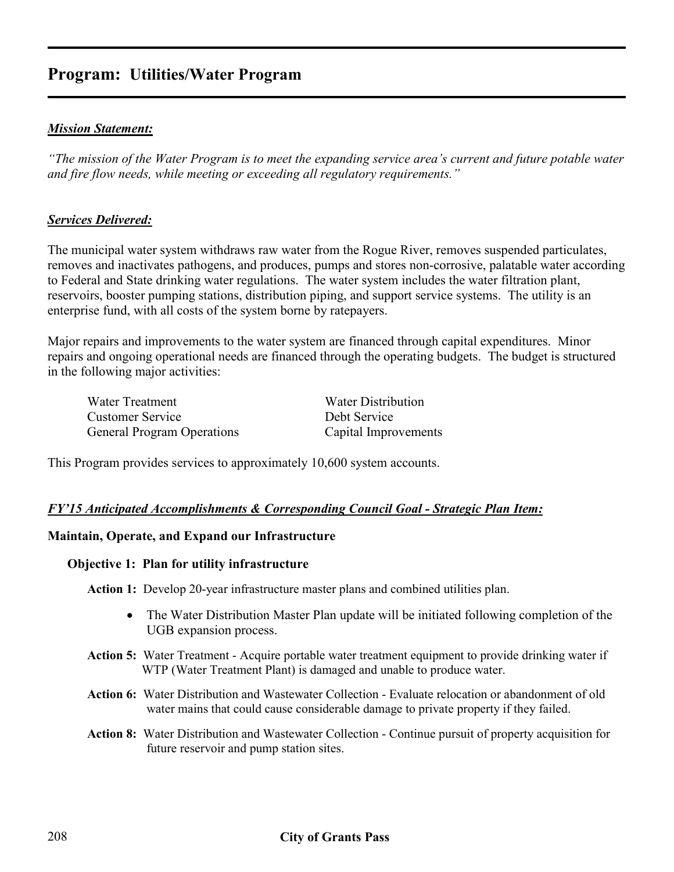# **Program: Utilities/Water Program**

#### *Mission Statement:*

*"The mission of the Water Program is to meet the expanding service area's current and future potable water and fire flow needs, while meeting or exceeding all regulatory requirements."* 

#### *Services Delivered:*

The municipal water system withdraws raw water from the Rogue River, removes suspended particulates, removes and inactivates pathogens, and produces, pumps and stores non-corrosive, palatable water according to Federal and State drinking water regulations. The water system includes the water filtration plant, reservoirs, booster pumping stations, distribution piping, and support service systems. The utility is an enterprise fund, with all costs of the system borne by ratepayers.

Major repairs and improvements to the water system are financed through capital expenditures. Minor repairs and ongoing operational needs are financed through the operating budgets. The budget is structured in the following major activities:

| Water Treatment                   | Water Distribution   |
|-----------------------------------|----------------------|
| Customer Service                  | Debt Service         |
| <b>General Program Operations</b> | Capital Improvements |

This Program provides services to approximately 10,600 system accounts.

#### *FY'15 Anticipated Accomplishments & Corresponding Council Goal - Strategic Plan Item:*

#### **Maintain, Operate, and Expand our Infrastructure**

#### **Objective 1: Plan for utility infrastructure**

**Action 1:** Develop 20-year infrastructure master plans and combined utilities plan.

- The Water Distribution Master Plan update will be initiated following completion of the UGB expansion process.
- **Action 5:** Water Treatment Acquire portable water treatment equipment to provide drinking water if WTP (Water Treatment Plant) is damaged and unable to produce water.
- **Action 6:** Water Distribution and Wastewater Collection Evaluate relocation or abandonment of old water mains that could cause considerable damage to private property if they failed.
- **Action 8:** Water Distribution and Wastewater Collection Continue pursuit of property acquisition for future reservoir and pump station sites.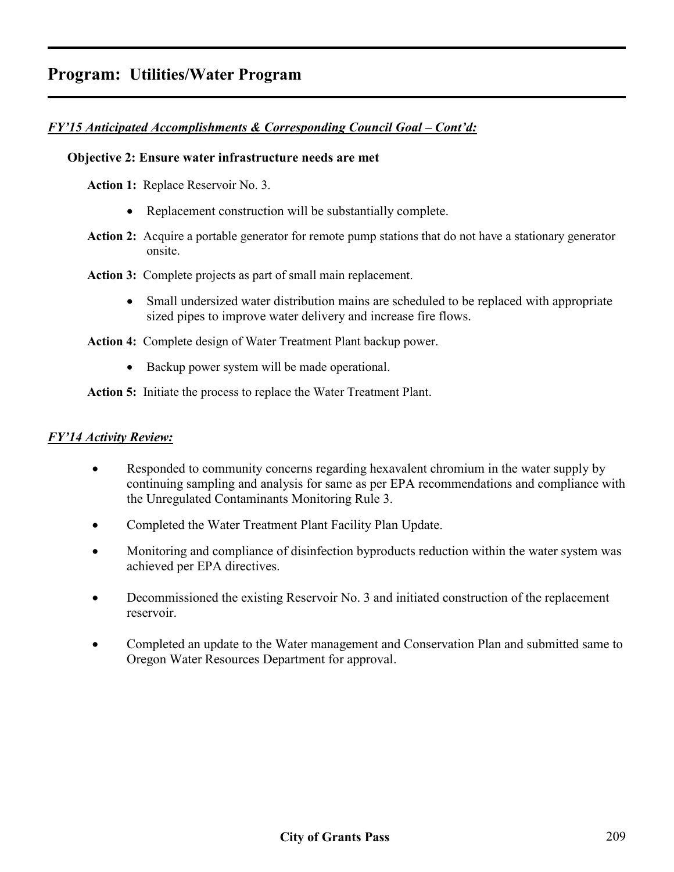# *FY'15 Anticipated Accomplishments & Corresponding Council Goal – Cont'd:*

#### **Objective 2: Ensure water infrastructure needs are met**

**Action 1:** Replace Reservoir No. 3.

- Replacement construction will be substantially complete.
- **Action 2:** Acquire a portable generator for remote pump stations that do not have a stationary generator onsite.
- **Action 3:** Complete projects as part of small main replacement.
	- Small undersized water distribution mains are scheduled to be replaced with appropriate sized pipes to improve water delivery and increase fire flows.

**Action 4:** Complete design of Water Treatment Plant backup power.

• Backup power system will be made operational.

**Action 5:** Initiate the process to replace the Water Treatment Plant.

#### *FY'14 Activity Review:*

- Responded to community concerns regarding hexavalent chromium in the water supply by continuing sampling and analysis for same as per EPA recommendations and compliance with the Unregulated Contaminants Monitoring Rule 3.
- Completed the Water Treatment Plant Facility Plan Update.
- Monitoring and compliance of disinfection byproducts reduction within the water system was achieved per EPA directives.
- Decommissioned the existing Reservoir No. 3 and initiated construction of the replacement reservoir.
- Completed an update to the Water management and Conservation Plan and submitted same to Oregon Water Resources Department for approval.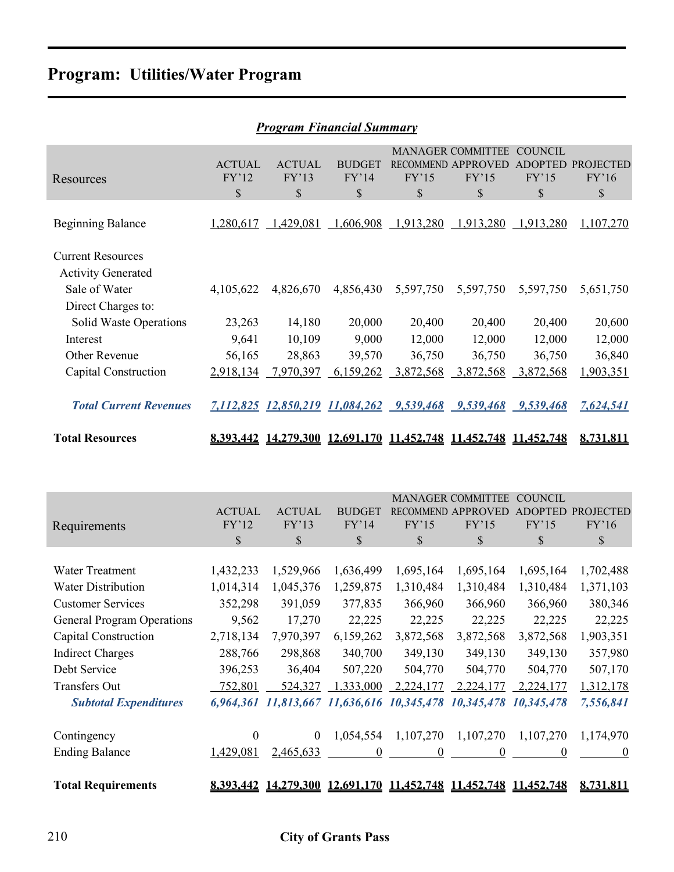# **Program: Utilities/Water Program**

| <b>Program Financial Summary</b>                      |                              |                              |                              |             |                                                               |                                                 |                                           |  |  |
|-------------------------------------------------------|------------------------------|------------------------------|------------------------------|-------------|---------------------------------------------------------------|-------------------------------------------------|-------------------------------------------|--|--|
| Resources                                             | <b>ACTUAL</b><br>FY'12<br>\$ | <b>ACTUAL</b><br>FY'13<br>\$ | <b>BUDGET</b><br>FY'14<br>\$ | FY'15<br>\$ | <b>MANAGER COMMITTEE</b><br>RECOMMEND APPROVED<br>FY'15<br>\$ | <b>COUNCIL</b><br><b>ADOPTED</b><br>FY'15<br>\$ | <b>PROJECTED</b><br>FY'16<br>$\mathbb{S}$ |  |  |
| <b>Beginning Balance</b>                              | 1,280,617                    | 1,429,081                    | 1,606,908                    | 1,913,280   | 1,913,280                                                     | 1,913,280                                       | 1,107,270                                 |  |  |
| <b>Current Resources</b><br><b>Activity Generated</b> |                              |                              |                              |             |                                                               |                                                 |                                           |  |  |
| Sale of Water<br>Direct Charges to:                   | 4,105,622                    | 4,826,670                    | 4,856,430                    | 5,597,750   | 5,597,750                                                     | 5,597,750                                       | 5,651,750                                 |  |  |
| Solid Waste Operations                                | 23,263                       | 14,180                       | 20,000                       | 20,400      | 20,400                                                        | 20,400                                          | 20,600                                    |  |  |
| Interest                                              | 9,641                        | 10,109                       | 9,000                        | 12,000      | 12,000                                                        | 12,000                                          | 12,000                                    |  |  |
| Other Revenue                                         | 56,165                       | 28,863                       | 39,570                       | 36,750      | 36,750                                                        | 36,750                                          | 36,840                                    |  |  |
| Capital Construction                                  | 2,918,134                    | 7,970,397                    | 6,159,262                    | 3,872,568   | 3,872,568                                                     | 3,872,568                                       | 1,903,351                                 |  |  |
| <b>Total Current Revenues</b>                         | 7,112,825                    | 12,850,219 11,084,262        |                              | 9,539,468   | 9,539,468                                                     | 9,539,468                                       | 7,624,541                                 |  |  |
| <b>Total Resources</b>                                | 8,393,442                    | 14,279,300                   | 12,691,170 11,452,748        |             | 11,452,748                                                    | 11,452,748                                      | 8,731,811                                 |  |  |

| Requirements                      | <b>ACTUAL</b><br>FY'12<br>\$ | <b>ACTUAL</b><br>FY'13<br>\$ | <b>BUDGET</b><br>FY'14<br>\$ | <b>RECOMMEND</b><br>FY'15<br>$\mathbb{S}$   | <b>MANAGER COMMITTEE</b><br><b>APPROVE</b><br>FY'15<br>\$        | <b>COUNCIL</b><br>ADOPTED<br>FY'15<br>\$ | <b>PROJECTED</b><br>FY'16<br>\$ |
|-----------------------------------|------------------------------|------------------------------|------------------------------|---------------------------------------------|------------------------------------------------------------------|------------------------------------------|---------------------------------|
| <b>Water Treatment</b>            | 1,432,233                    | 1,529,966                    | 1,636,499                    | 1,695,164                                   | 1,695,164                                                        | 1,695,164                                | 1,702,488                       |
| <b>Water Distribution</b>         | 1,014,314                    | 1,045,376                    | 1,259,875                    | 1,310,484                                   | 1,310,484                                                        | 1,310,484                                | 1,371,103                       |
| <b>Customer Services</b>          | 352,298                      | 391,059                      | 377,835                      | 366,960                                     | 366,960                                                          | 366,960                                  | 380,346                         |
| <b>General Program Operations</b> | 9,562                        | 17,270                       | 22,225                       | 22,225                                      | 22,225                                                           | 22,225                                   | 22,225                          |
| Capital Construction              | 2,718,134                    | 7,970,397                    | 6,159,262                    | 3,872,568                                   | 3,872,568                                                        | 3,872,568                                | 1,903,351                       |
| <b>Indirect Charges</b>           | 288,766                      | 298,868                      | 340,700                      | 349,130                                     | 349,130                                                          | 349,130                                  | 357,980                         |
| Debt Service                      | 396,253                      | 36,404                       | 507,220                      | 504,770                                     | 504,770                                                          | 504,770                                  | 507,170                         |
| Transfers Out                     | 752,801                      | 524,327                      | 1,333,000                    | 2,224,177                                   | 2,224,177                                                        | 2,224,177                                | 1,312,178                       |
| <b>Subtotal Expenditures</b>      | 6,964,361                    |                              |                              | 11,813,667 11,636,616 10,345,478 10,345,478 |                                                                  | 10,345,478                               | 7,556,841                       |
| Contingency                       | $\theta$                     | $\theta$                     | 1,054,554                    | 1,107,270                                   | 1,107,270                                                        | 1,107,270                                | 1,174,970                       |
| <b>Ending Balance</b>             | 1,429,081                    | 2,465,633                    | $\theta$                     | 0                                           | $\Omega$                                                         | $\theta$                                 | $\theta$                        |
| <b>Total Requirements</b>         |                              |                              |                              |                                             | 8,393,442 14,279,300 12,691,170 11,452,748 11,452,748 11,452,748 |                                          | 8.731.811                       |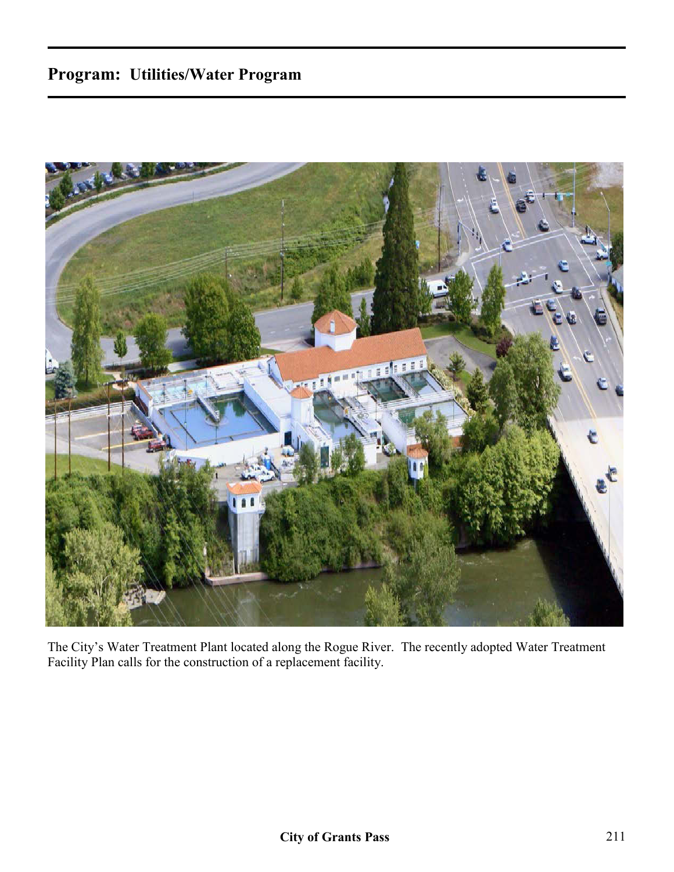# **Program: Utilities/Water Program**



The City's Water Treatment Plant located along the Rogue River. The recently adopted Water Treatment Facility Plan calls for the construction of a replacement facility.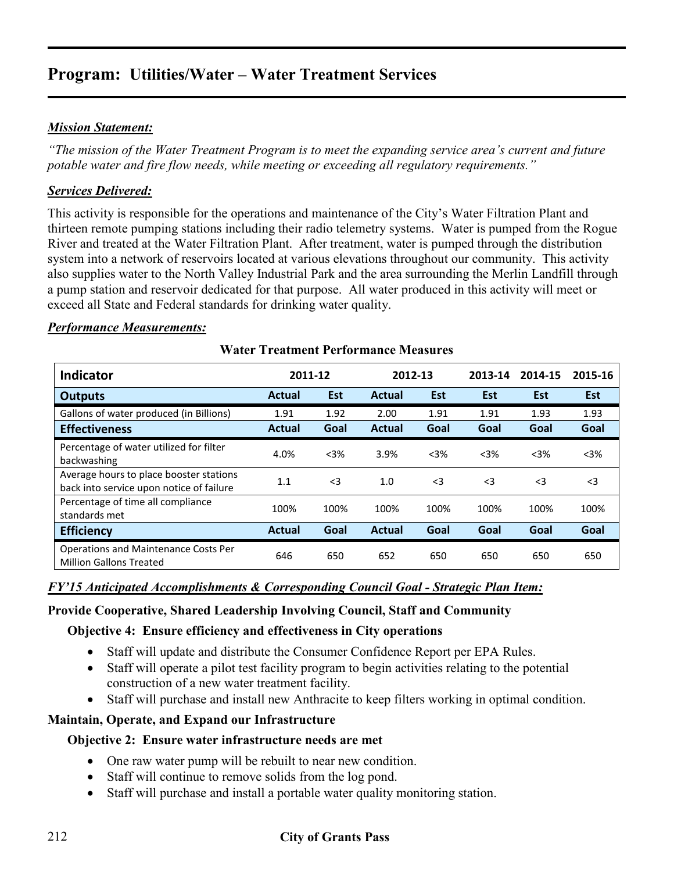# *Mission Statement:*

*"The mission of the Water Treatment Program is to meet the expanding service area's current and future potable water and fire flow needs, while meeting or exceeding all regulatory requirements."* 

# *Services Delivered:*

This activity is responsible for the operations and maintenance of the City's Water Filtration Plant and thirteen remote pumping stations including their radio telemetry systems. Water is pumped from the Rogue River and treated at the Water Filtration Plant. After treatment, water is pumped through the distribution system into a network of reservoirs located at various elevations throughout our community. This activity also supplies water to the North Valley Industrial Park and the area surrounding the Merlin Landfill through a pump station and reservoir dedicated for that purpose. All water produced in this activity will meet or exceed all State and Federal standards for drinking water quality.

# *Performance Measurements:*

|                                                                                     |               | 2011-12    |               | 2012-13 |          |            |            |
|-------------------------------------------------------------------------------------|---------------|------------|---------------|---------|----------|------------|------------|
| <b>Indicator</b>                                                                    |               |            |               |         | 2013-14  | 2014-15    | 2015-16    |
| <b>Outputs</b>                                                                      | <b>Actual</b> | <b>Est</b> | <b>Actual</b> | Est     | Est      | <b>Est</b> | <b>Est</b> |
| Gallons of water produced (in Billions)                                             | 1.91          | 1.92       | 2.00          | 1.91    | 1.91     | 1.93       | 1.93       |
| <b>Effectiveness</b>                                                                | <b>Actual</b> | Goal       | <b>Actual</b> | Goal    | Goal     | Goal       | Goal       |
| Percentage of water utilized for filter<br>backwashing                              | 4.0%          | $3%$       | 3.9%          | $<$ 3%  | $3%$     | $3%$       | $3%$       |
| Average hours to place booster stations<br>back into service upon notice of failure | 1.1           | $<$ 3      | 1.0           | $<$ 3   | $\leq$ 3 | $<$ 3      | $\leq$ 3   |
| Percentage of time all compliance<br>standards met                                  | 100%          | 100%       | 100%          | 100%    | 100%     | 100%       | 100%       |
| <b>Efficiency</b>                                                                   | Actual        | Goal       | <b>Actual</b> | Goal    | Goal     | Goal       | Goal       |
| <b>Operations and Maintenance Costs Per</b><br><b>Million Gallons Treated</b>       | 646           | 650        | 652           | 650     | 650      | 650        | 650        |

# **Water Treatment Performance Measures**

#### *FY'15 Anticipated Accomplishments & Corresponding Council Goal - Strategic Plan Item:*

# **Provide Cooperative, Shared Leadership Involving Council, Staff and Community**

# **Objective 4: Ensure efficiency and effectiveness in City operations**

- Staff will update and distribute the Consumer Confidence Report per EPA Rules.
- Staff will operate a pilot test facility program to begin activities relating to the potential construction of a new water treatment facility.
- Staff will purchase and install new Anthracite to keep filters working in optimal condition.

# **Maintain, Operate, and Expand our Infrastructure**

# **Objective 2: Ensure water infrastructure needs are met**

- One raw water pump will be rebuilt to near new condition.
- Staff will continue to remove solids from the log pond.
- Staff will purchase and install a portable water quality monitoring station.

# 212 **City of Grants Pass**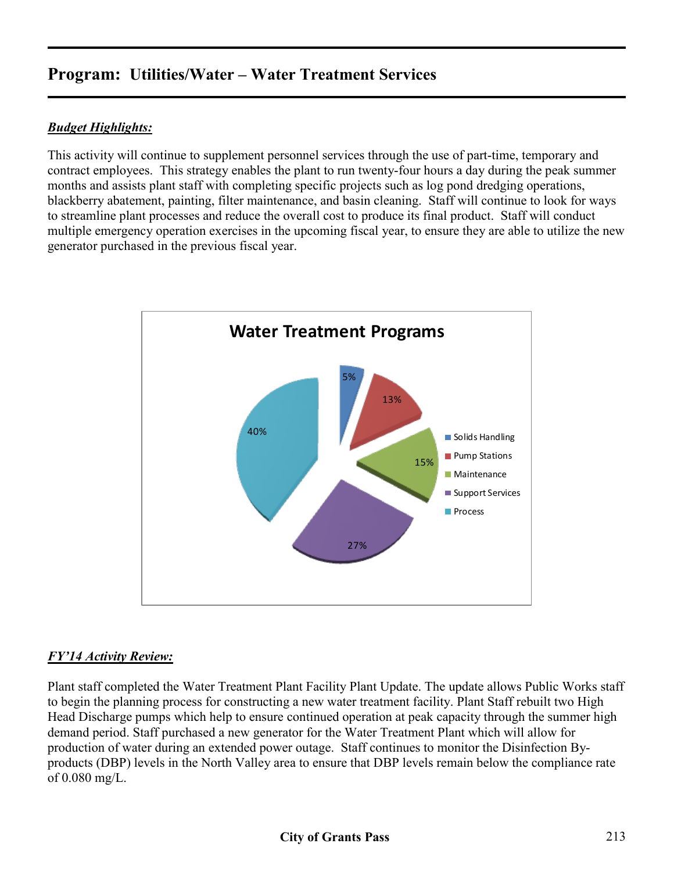# *Budget Highlights:*

This activity will continue to supplement personnel services through the use of part-time, temporary and contract employees. This strategy enables the plant to run twenty-four hours a day during the peak summer months and assists plant staff with completing specific projects such as log pond dredging operations, blackberry abatement, painting, filter maintenance, and basin cleaning. Staff will continue to look for ways to streamline plant processes and reduce the overall cost to produce its final product. Staff will conduct multiple emergency operation exercises in the upcoming fiscal year, to ensure they are able to utilize the new generator purchased in the previous fiscal year.



# *FY'14 Activity Review:*

Plant staff completed the Water Treatment Plant Facility Plant Update. The update allows Public Works staff to begin the planning process for constructing a new water treatment facility. Plant Staff rebuilt two High Head Discharge pumps which help to ensure continued operation at peak capacity through the summer high demand period. Staff purchased a new generator for the Water Treatment Plant which will allow for production of water during an extended power outage. Staff continues to monitor the Disinfection Byproducts (DBP) levels in the North Valley area to ensure that DBP levels remain below the compliance rate of 0.080 mg/L.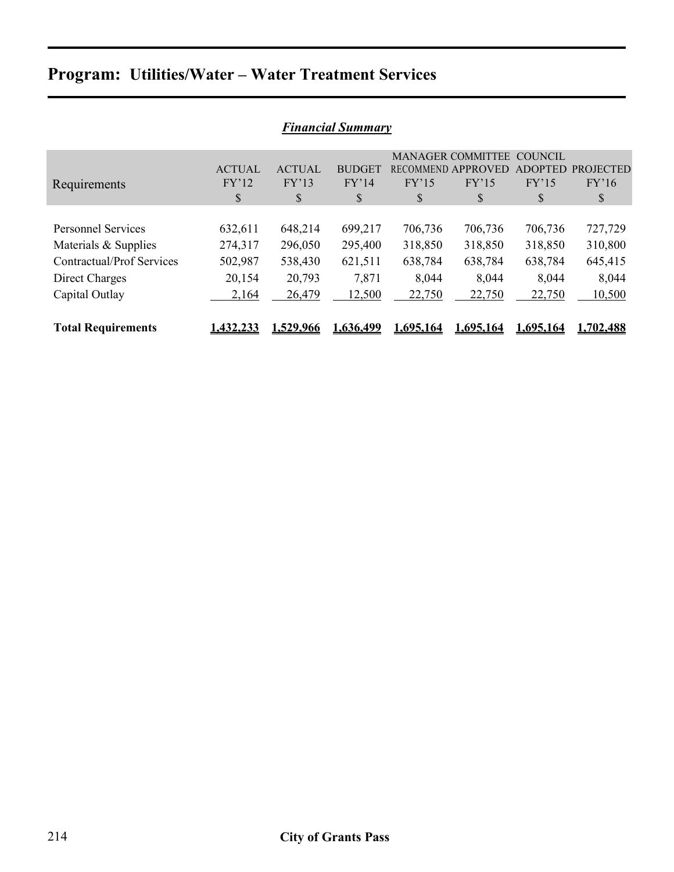| <b>Financial Summary</b>         |               |               |                  |           |                          |                |                  |  |  |
|----------------------------------|---------------|---------------|------------------|-----------|--------------------------|----------------|------------------|--|--|
|                                  |               |               |                  |           | <b>MANAGER COMMITTEE</b> | COUNCIL        |                  |  |  |
|                                  | <b>ACTUAL</b> | <b>ACTUAL</b> | <b>BUDGET</b>    |           | RECOMMEND APPROVED       | <b>ADOPTED</b> | <b>PROJECTED</b> |  |  |
| Requirements                     | FY'12         | FY'13         | FY'14            | FY'15     | FY'15                    | FY'15          | FY'16            |  |  |
|                                  | \$            | \$            | \$               | \$        | \$                       | \$             | \$               |  |  |
|                                  |               |               |                  |           |                          |                |                  |  |  |
| <b>Personnel Services</b>        | 632,611       | 648,214       | 699,217          | 706,736   | 706,736                  | 706,736        | 727,729          |  |  |
| Materials & Supplies             | 274,317       | 296,050       | 295,400          | 318,850   | 318,850                  | 318,850        | 310,800          |  |  |
| <b>Contractual/Prof Services</b> | 502,987       | 538,430       | 621,511          | 638,784   | 638,784                  | 638,784        | 645,415          |  |  |
| Direct Charges                   | 20,154        | 20,793        | 7,871            | 8,044     | 8,044                    | 8,044          | 8,044            |  |  |
| Capital Outlay                   | 2,164         | 26,479        | 12,500           | 22,750    | 22,750                   | 22,750         | 10,500           |  |  |
|                                  |               |               |                  |           |                          |                |                  |  |  |
| <b>Total Requirements</b>        | 1.432,233     | 1.529.966     | <u>1.636.499</u> | 1.695.164 | 1.695.164                | 1.695.164      | 1.702,488        |  |  |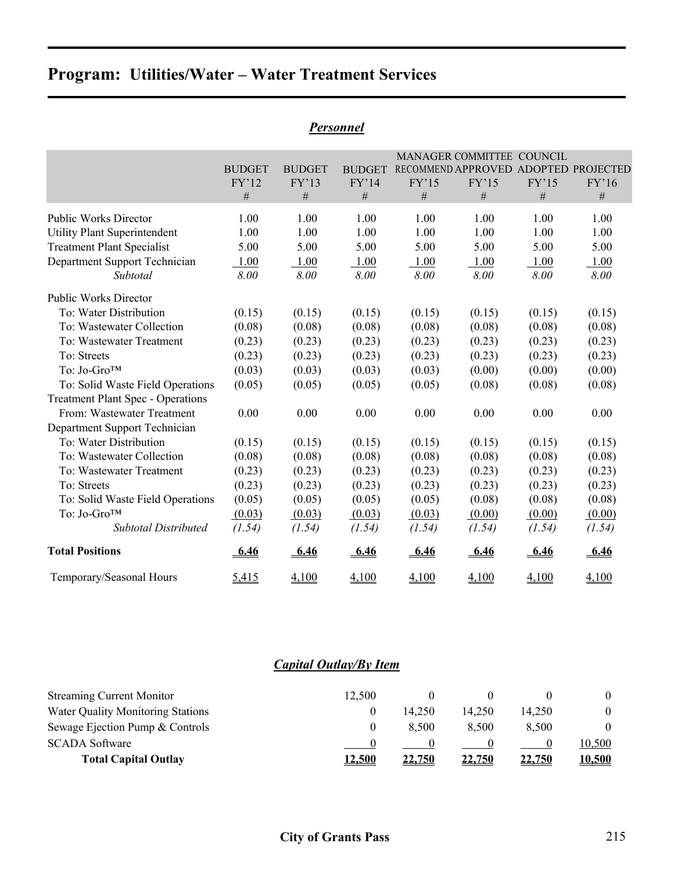|                                          |               |               |               |         | MANAGER COMMITTEE COUNCIL |        |                                      |
|------------------------------------------|---------------|---------------|---------------|---------|---------------------------|--------|--------------------------------------|
|                                          | <b>BUDGET</b> | <b>BUDGET</b> | <b>BUDGET</b> |         |                           |        | RECOMMEND APPROVED ADOPTED PROJECTED |
|                                          | FY'12         | FY'13         | FY'14         | FY'15   | FY'15                     | FY'15  | FY'16                                |
|                                          | #             | $\#$          | #             | $\#$    | $\#$                      | $\#$   | #                                    |
| <b>Public Works Director</b>             | 1.00          | 1.00          | 1.00          | 1.00    | 1.00                      | 1.00   | 1.00                                 |
| <b>Utility Plant Superintendent</b>      | 1.00          | 1.00          | 1.00          | 1.00    | 1.00                      | 1.00   | 1.00                                 |
| <b>Treatment Plant Specialist</b>        | 5.00          | 5.00          | 5.00          | 5.00    | 5.00                      | 5.00   | 5.00                                 |
| Department Support Technician            | 1.00          | 1.00          | 1.00          | 1.00    | 1.00                      | 1.00   | 1.00                                 |
| Subtotal                                 | 8.00          | 8.00          | 8.00          | 8.00    | 8.00                      | 8.00   | 8.00                                 |
| <b>Public Works Director</b>             |               |               |               |         |                           |        |                                      |
| To: Water Distribution                   | (0.15)        | (0.15)        | (0.15)        | (0.15)  | (0.15)                    | (0.15) | (0.15)                               |
| To: Wastewater Collection                | (0.08)        | (0.08)        | (0.08)        | (0.08)  | (0.08)                    | (0.08) | (0.08)                               |
| To: Wastewater Treatment                 | (0.23)        | (0.23)        | (0.23)        | (0.23)  | (0.23)                    | (0.23) | (0.23)                               |
| To: Streets                              | (0.23)        | (0.23)        | (0.23)        | (0.23)  | (0.23)                    | (0.23) | (0.23)                               |
| To: Jo-Gro™                              | (0.03)        | (0.03)        | (0.03)        | (0.03)  | (0.00)                    | (0.00) | (0.00)                               |
| To: Solid Waste Field Operations         | (0.05)        | (0.05)        | (0.05)        | (0.05)  | (0.08)                    | (0.08) | (0.08)                               |
| <b>Treatment Plant Spec - Operations</b> |               |               |               |         |                           |        |                                      |
| From: Wastewater Treatment               | 0.00          | 0.00          | 0.00          | 0.00    | 0.00                      | 0.00   | 0.00                                 |
| Department Support Technician            |               |               |               |         |                           |        |                                      |
| To: Water Distribution                   | (0.15)        | (0.15)        | (0.15)        | (0.15)  | (0.15)                    | (0.15) | (0.15)                               |
| To: Wastewater Collection                | (0.08)        | (0.08)        | (0.08)        | (0.08)  | (0.08)                    | (0.08) | (0.08)                               |
| To: Wastewater Treatment                 | (0.23)        | (0.23)        | (0.23)        | (0.23)  | (0.23)                    | (0.23) | (0.23)                               |
| To: Streets                              | (0.23)        | (0.23)        | (0.23)        | (0.23)  | (0.23)                    | (0.23) | (0.23)                               |
| To: Solid Waste Field Operations         | (0.05)        | (0.05)        | (0.05)        | (0.05)  | (0.08)                    | (0.08) | (0.08)                               |
| To: Jo-Gro <sup>TM</sup>                 | (0.03)        | (0.03)        | (0.03)        | (0.03)  | (0.00)                    | (0.00) | (0.00)                               |
| <b>Subtotal Distributed</b>              | (1.54)        | (1.54)        | (1.54)        | (1.54)  | (1.54)                    | (1.54) | (1.54)                               |
| <b>Total Positions</b>                   | <u>6.46</u>   | <u>-6.46</u>  | <u>-6.46</u>  | $-6.46$ | 6.46                      | 6.46   | 6.46                                 |
| Temporary/Seasonal Hours                 | 5,415         | 4,100         | 4,100         | 4,100   | 4,100                     | 4,100  | 4,100                                |

# *Personnel*

# *Capital Outlay/By Item*

| <b>Streaming Current Monitor</b>  | 12.500        |               |               |               |               |
|-----------------------------------|---------------|---------------|---------------|---------------|---------------|
| Water Quality Monitoring Stations |               | 14.250        | 14.250        | 14.250        | $\theta$      |
| Sewage Ejection Pump & Controls   |               | 8.500         | 8.500         | 8.500         | $\Omega$      |
| <b>SCADA Software</b>             |               |               |               |               | 10.500        |
| <b>Total Capital Outlay</b>       | <u>12,500</u> | <u>22,750</u> | <u>22,750</u> | <u>22,750</u> | <u>10,500</u> |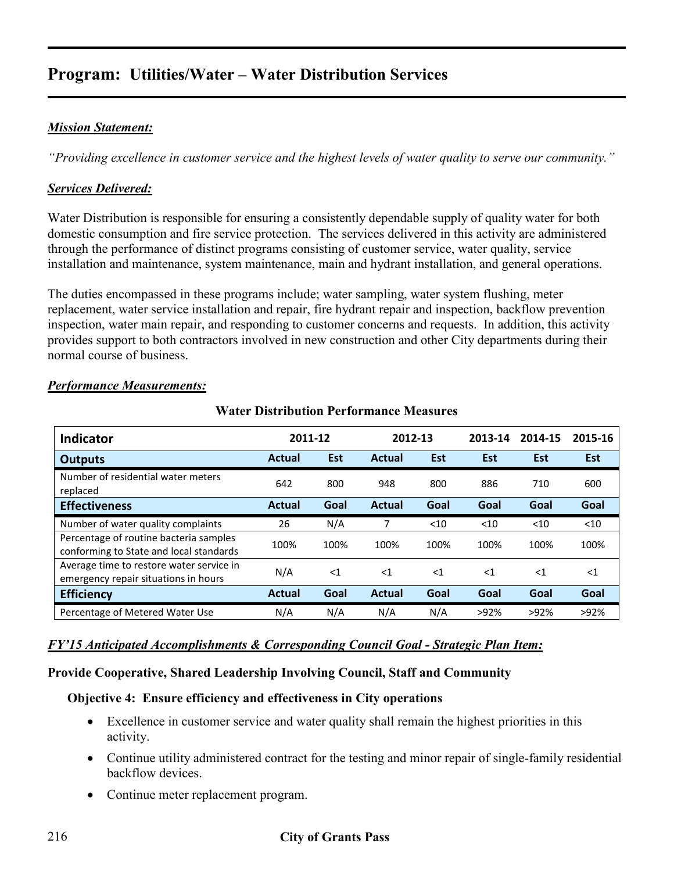# *Mission Statement:*

*"Providing excellence in customer service and the highest levels of water quality to serve our community."* 

# *Services Delivered:*

Water Distribution is responsible for ensuring a consistently dependable supply of quality water for both domestic consumption and fire service protection. The services delivered in this activity are administered through the performance of distinct programs consisting of customer service, water quality, service installation and maintenance, system maintenance, main and hydrant installation, and general operations.

The duties encompassed in these programs include; water sampling, water system flushing, meter replacement, water service installation and repair, fire hydrant repair and inspection, backflow prevention inspection, water main repair, and responding to customer concerns and requests. In addition, this activity provides support to both contractors involved in new construction and other City departments during their normal course of business.

| <b>Indicator</b>                                                                  | 2011-12       |       | 2012-13       |            | 2013-14 | 2014-15    | 2015-16 |
|-----------------------------------------------------------------------------------|---------------|-------|---------------|------------|---------|------------|---------|
| <b>Outputs</b>                                                                    | <b>Actual</b> | Est   | <b>Actual</b> | <b>Est</b> | Est     | <b>Est</b> | Est     |
| Number of residential water meters<br>replaced                                    | 642           | 800   | 948           | 800        | 886     | 710        | 600     |
| <b>Effectiveness</b>                                                              | <b>Actual</b> | Goal  | <b>Actual</b> | Goal       | Goal    | Goal       | Goal    |
| Number of water quality complaints                                                | 26            | N/A   | 7             | $<$ 10     | $<$ 10  | $<$ 10     | $<$ 10  |
| Percentage of routine bacteria samples<br>conforming to State and local standards | 100%          | 100%  | 100%          | 100%       | 100%    | 100%       | 100%    |
| Average time to restore water service in<br>emergency repair situations in hours  | N/A           | $<$ 1 | $<$ 1         | $<$ 1      | $<$ 1   | $<$ 1      | $<$ 1   |
| <b>Efficiency</b>                                                                 | <b>Actual</b> | Goal  | <b>Actual</b> | Goal       | Goal    | Goal       | Goal    |
| Percentage of Metered Water Use                                                   | N/A           | N/A   | N/A           | N/A        | >92%    | >92%       | >92%    |

**Water Distribution Performance Measures**

# *Performance Measurements:*

# *FY'15 Anticipated Accomplishments & Corresponding Council Goal - Strategic Plan Item:*

# **Provide Cooperative, Shared Leadership Involving Council, Staff and Community**

# **Objective 4: Ensure efficiency and effectiveness in City operations**

- Excellence in customer service and water quality shall remain the highest priorities in this activity.
- Continue utility administered contract for the testing and minor repair of single-family residential backflow devices.
- Continue meter replacement program.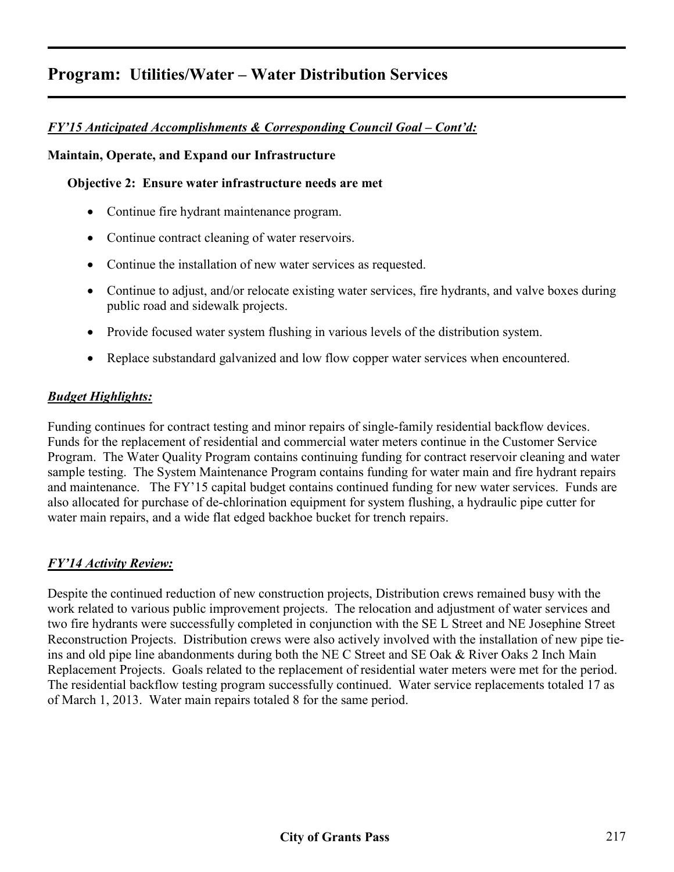# *FY'15 Anticipated Accomplishments & Corresponding Council Goal – Cont'd:*

## **Maintain, Operate, and Expand our Infrastructure**

## **Objective 2: Ensure water infrastructure needs are met**

- Continue fire hydrant maintenance program.
- Continue contract cleaning of water reservoirs.
- Continue the installation of new water services as requested.
- Continue to adjust, and/or relocate existing water services, fire hydrants, and valve boxes during public road and sidewalk projects.
- Provide focused water system flushing in various levels of the distribution system.
- Replace substandard galvanized and low flow copper water services when encountered.

# *Budget Highlights:*

Funding continues for contract testing and minor repairs of single-family residential backflow devices. Funds for the replacement of residential and commercial water meters continue in the Customer Service Program. The Water Quality Program contains continuing funding for contract reservoir cleaning and water sample testing. The System Maintenance Program contains funding for water main and fire hydrant repairs and maintenance. The FY'15 capital budget contains continued funding for new water services. Funds are also allocated for purchase of de-chlorination equipment for system flushing, a hydraulic pipe cutter for water main repairs, and a wide flat edged backhoe bucket for trench repairs.

# *FY'14 Activity Review:*

Despite the continued reduction of new construction projects, Distribution crews remained busy with the work related to various public improvement projects. The relocation and adjustment of water services and two fire hydrants were successfully completed in conjunction with the SE L Street and NE Josephine Street Reconstruction Projects. Distribution crews were also actively involved with the installation of new pipe tieins and old pipe line abandonments during both the NE C Street and SE Oak & River Oaks 2 Inch Main Replacement Projects. Goals related to the replacement of residential water meters were met for the period. The residential backflow testing program successfully continued. Water service replacements totaled 17 as of March 1, 2013. Water main repairs totaled 8 for the same period.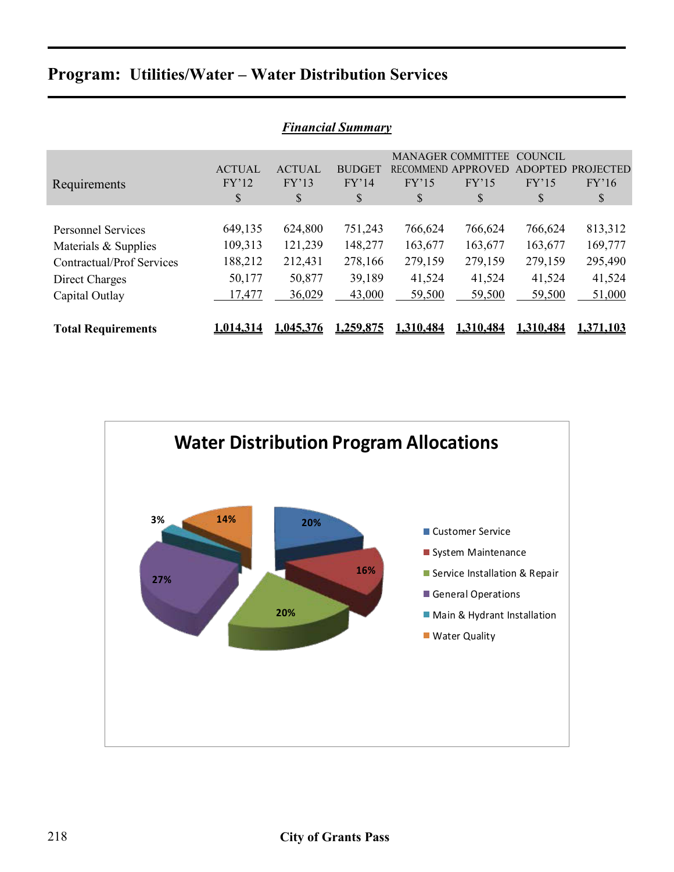| <b>Financial Summary</b>         |               |               |               |           |                          |                |                  |  |  |
|----------------------------------|---------------|---------------|---------------|-----------|--------------------------|----------------|------------------|--|--|
|                                  |               |               |               |           | <b>MANAGER COMMITTEE</b> | <b>COUNCIL</b> |                  |  |  |
|                                  | <b>ACTUAL</b> | <b>ACTUAL</b> | <b>BUDGET</b> |           | RECOMMEND APPROVED       | <b>ADOPTED</b> | <b>PROJECTED</b> |  |  |
| Requirements                     | FY'12         | FY'13         | FY'14         | FY'15     | FY'15                    | FY'15          | FY'16            |  |  |
|                                  | \$            | \$            | <sup>S</sup>  | S         | \$                       | S              | S                |  |  |
|                                  |               |               |               |           |                          |                |                  |  |  |
| <b>Personnel Services</b>        | 649,135       | 624,800       | 751,243       | 766,624   | 766,624                  | 766,624        | 813,312          |  |  |
| Materials & Supplies             | 109,313       | 121,239       | 148,277       | 163,677   | 163,677                  | 163,677        | 169,777          |  |  |
| <b>Contractual/Prof Services</b> | 188,212       | 212,431       | 278,166       | 279,159   | 279,159                  | 279,159        | 295,490          |  |  |
| Direct Charges                   | 50,177        | 50,877        | 39,189        | 41,524    | 41,524                   | 41,524         | 41,524           |  |  |
| Capital Outlay                   | 17,477        | 36,029        | 43,000        | 59,500    | 59,500                   | 59,500         | 51,000           |  |  |
|                                  |               |               |               |           |                          |                |                  |  |  |
| <b>Total Requirements</b>        | 1,014,314     | 1.045.376     | 1.259.875     | 1.310.484 | 1.310.484                | 1.310.484      | 1,371,103        |  |  |

## *Financial Summary*

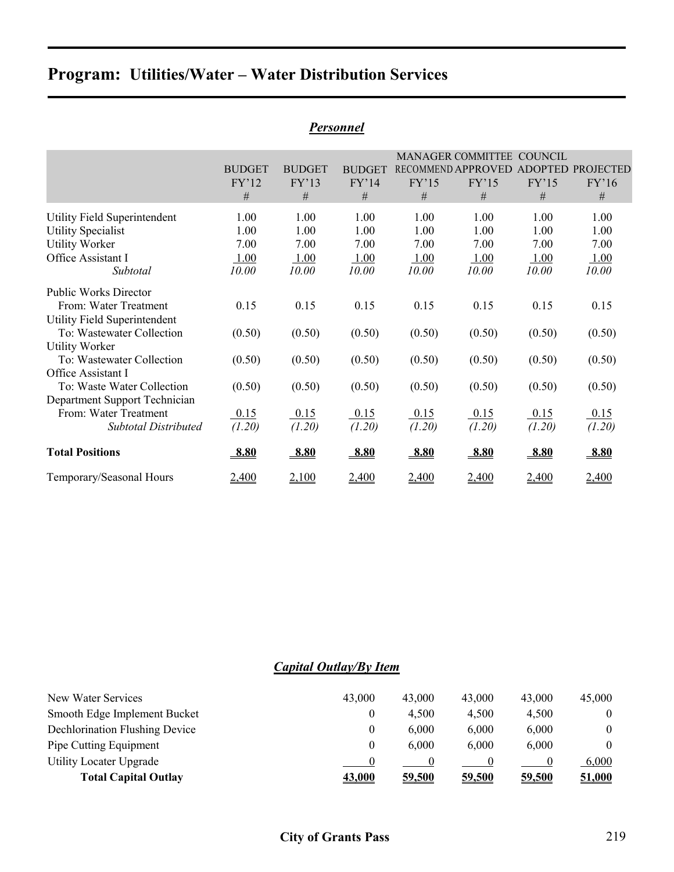|                               |               |               |               |        | <b>MANAGER COMMITTEE</b>             | COUNCIL |        |
|-------------------------------|---------------|---------------|---------------|--------|--------------------------------------|---------|--------|
|                               | <b>BUDGET</b> | <b>BUDGET</b> | <b>BUDGET</b> |        | RECOMMEND APPROVED ADOPTED PROJECTED |         |        |
|                               | FY'12         | FY'13         | FY'14         | FY'15  | FY'15                                | FY'15   | FY'16  |
|                               | #             | $\#$          | #             | #      | #                                    | #       | #      |
| Utility Field Superintendent  | 1.00          | 1.00          | 1.00          | 1.00   | 1.00                                 | 1.00    | 1.00   |
| <b>Utility Specialist</b>     | 1.00          | 1.00          | 1.00          | 1.00   | 1.00                                 | 1.00    | 1.00   |
| <b>Utility Worker</b>         | 7.00          | 7.00          | 7.00          | 7.00   | 7.00                                 | 7.00    | 7.00   |
| Office Assistant I            | 1.00          | 1.00          | 1.00          | 1.00   | 1.00                                 | 1.00    | 1.00   |
| Subtotal                      | 10.00         | 10.00         | 10.00         | 10.00  | 10.00                                | 10.00   | 10.00  |
| <b>Public Works Director</b>  |               |               |               |        |                                      |         |        |
| From: Water Treatment         | 0.15          | 0.15          | 0.15          | 0.15   | 0.15                                 | 0.15    | 0.15   |
| Utility Field Superintendent  |               |               |               |        |                                      |         |        |
| To: Wastewater Collection     | (0.50)        | (0.50)        | (0.50)        | (0.50) | (0.50)                               | (0.50)  | (0.50) |
| <b>Utility Worker</b>         |               |               |               |        |                                      |         |        |
| To: Wastewater Collection     | (0.50)        | (0.50)        | (0.50)        | (0.50) | (0.50)                               | (0.50)  | (0.50) |
| Office Assistant I            |               |               |               |        |                                      |         |        |
| To: Waste Water Collection    | (0.50)        | (0.50)        | (0.50)        | (0.50) | (0.50)                               | (0.50)  | (0.50) |
| Department Support Technician |               |               |               |        |                                      |         |        |
| From: Water Treatment         | 0.15          | 0.15          | 0.15          | 0.15   | 0.15                                 | 0.15    | 0.15   |
| <b>Subtotal Distributed</b>   | (1.20)        | (1.20)        | (1.20)        | (1.20) | (1.20)                               | (1.20)  | (1.20) |
| <b>Total Positions</b>        | 8.80          | 8.80          | 8.80          | 8.80   | 8.80                                 | 8.80    | 8.80   |
| Temporary/Seasonal Hours      | 2,400         | 2,100         | 2,400         | 2,400  | 2,400                                | 2,400   | 2,400  |

## *Personnel*

# *Capital Outlay/By Item*

| New Water Services                    | 43,000        | 43,000 | 43,000 | 43,000 | 45,000        |
|---------------------------------------|---------------|--------|--------|--------|---------------|
| Smooth Edge Implement Bucket          |               | 4.500  | 4,500  | 4,500  | $\theta$      |
| <b>Dechlorination Flushing Device</b> |               | 6.000  | 6,000  | 6,000  | $\theta$      |
| Pipe Cutting Equipment                |               | 6.000  | 6,000  | 6,000  | $\theta$      |
| Utility Locater Upgrade               |               |        |        |        | 6,000         |
| <b>Total Capital Outlay</b>           | <u>43,000</u> | 59,500 | 59,500 | 59,500 | <u>51,000</u> |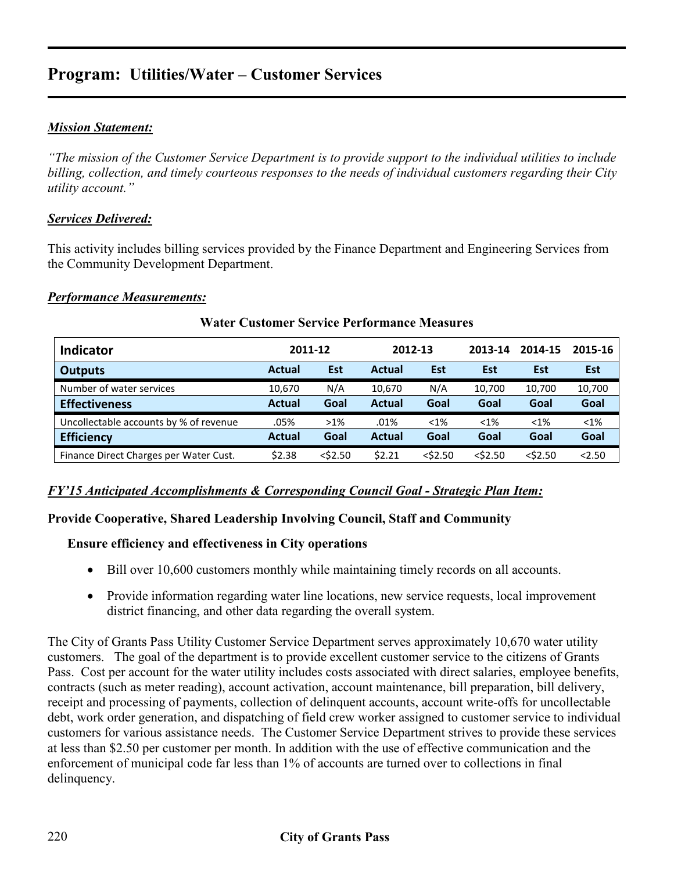# **Program: Utilities/Water – Customer Services**

# *Mission Statement:*

*"The mission of the Customer Service Department is to provide support to the individual utilities to include billing, collection, and timely courteous responses to the needs of individual customers regarding their City utility account."* 

# *Services Delivered:*

This activity includes billing services provided by the Finance Department and Engineering Services from the Community Development Department.

#### *Performance Measurements:*

| <b>Indicator</b>                       |               | 2011-12    | 2012-13       |            | 2013-14    | 2014-15    | 2015-16    |
|----------------------------------------|---------------|------------|---------------|------------|------------|------------|------------|
| <b>Outputs</b>                         | <b>Actual</b> | <b>Est</b> | <b>Actual</b> | <b>Est</b> | Est        | <b>Est</b> | <b>Est</b> |
| Number of water services               | 10,670        | N/A        | 10,670        | N/A        | 10,700     | 10,700     | 10,700     |
| <b>Effectiveness</b>                   | <b>Actual</b> | Goal       | <b>Actual</b> | Goal       | Goal       | Goal       | Goal       |
| Uncollectable accounts by % of revenue | .05%          | $>1\%$     | .01%          | $< 1\%$    | $< 1\%$    | $< 1\%$    | $< 1\%$    |
| <b>Efficiency</b>                      | <b>Actual</b> | Goal       | <b>Actual</b> | Goal       | Goal       | Goal       | Goal       |
| Finance Direct Charges per Water Cust. | \$2.38        | $<$ \$2.50 | \$2.21        | $<$ \$2.50 | $<$ \$2.50 | $<$ \$2.50 | < 2.50     |

# **Water Customer Service Performance Measures**

#### *FY'15 Anticipated Accomplishments & Corresponding Council Goal - Strategic Plan Item:*

# **Provide Cooperative, Shared Leadership Involving Council, Staff and Community**

# **Ensure efficiency and effectiveness in City operations**

- Bill over 10,600 customers monthly while maintaining timely records on all accounts.
- Provide information regarding water line locations, new service requests, local improvement district financing, and other data regarding the overall system.

The City of Grants Pass Utility Customer Service Department serves approximately 10,670 water utility customers. The goal of the department is to provide excellent customer service to the citizens of Grants Pass. Cost per account for the water utility includes costs associated with direct salaries, employee benefits, contracts (such as meter reading), account activation, account maintenance, bill preparation, bill delivery, receipt and processing of payments, collection of delinquent accounts, account write-offs for uncollectable debt, work order generation, and dispatching of field crew worker assigned to customer service to individual customers for various assistance needs. The Customer Service Department strives to provide these services at less than \$2.50 per customer per month. In addition with the use of effective communication and the enforcement of municipal code far less than 1% of accounts are turned over to collections in final delinquency.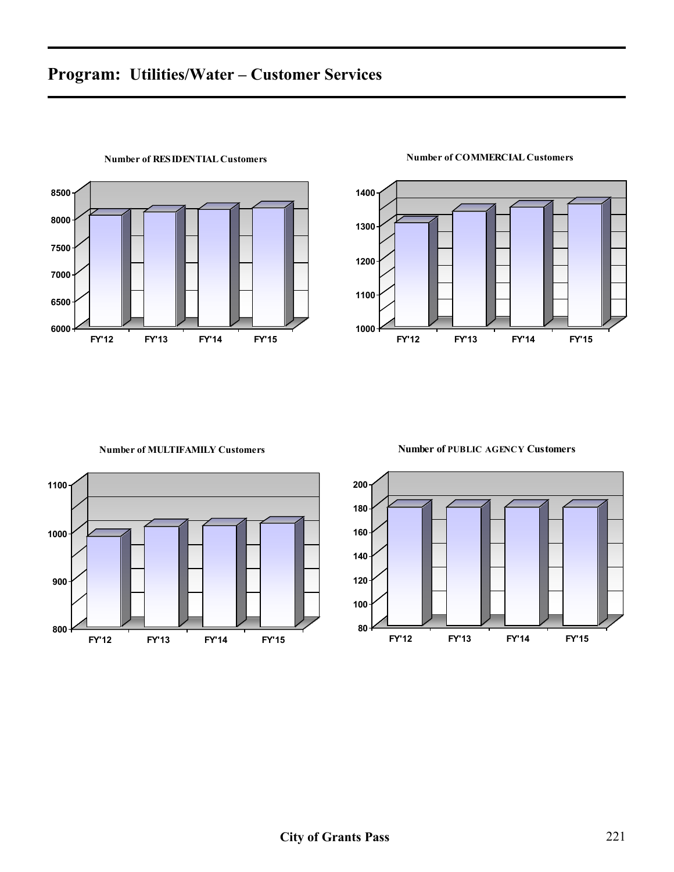

#### **Number of RESIDENTIAL Customers**

# 

#### **Number of COMMERCIAL Customers**



#### **Number of MULTIFAMILY Customers**



**Number of PUBLIC AGENCY Customers**

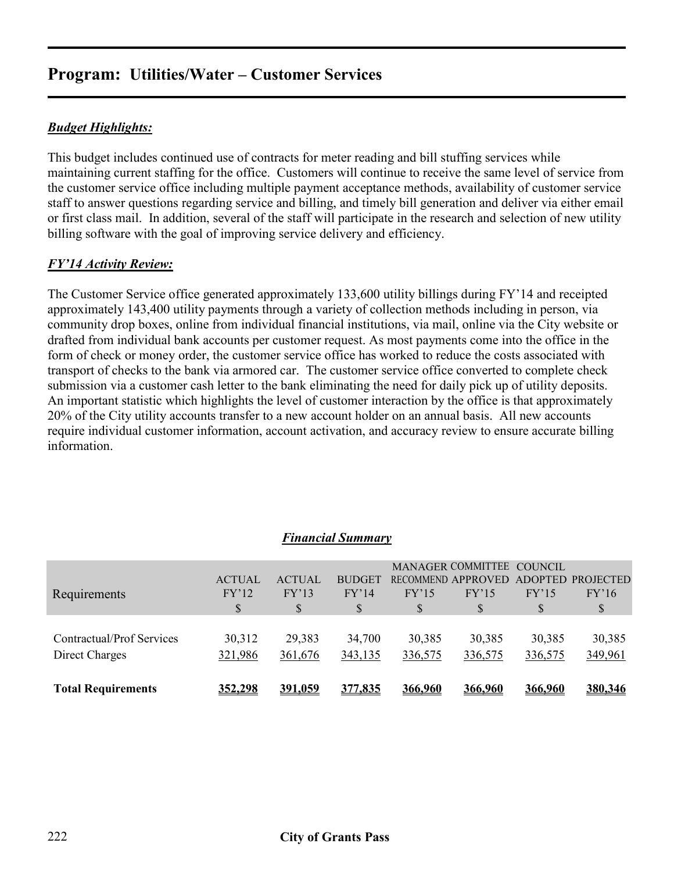# **Program: Utilities/Water – Customer Services**

# *Budget Highlights:*

This budget includes continued use of contracts for meter reading and bill stuffing services while maintaining current staffing for the office. Customers will continue to receive the same level of service from the customer service office including multiple payment acceptance methods, availability of customer service staff to answer questions regarding service and billing, and timely bill generation and deliver via either email or first class mail. In addition, several of the staff will participate in the research and selection of new utility billing software with the goal of improving service delivery and efficiency.

# *FY'14 Activity Review:*

The Customer Service office generated approximately 133,600 utility billings during FY'14 and receipted approximately 143,400 utility payments through a variety of collection methods including in person, via community drop boxes, online from individual financial institutions, via mail, online via the City website or drafted from individual bank accounts per customer request. As most payments come into the office in the form of check or money order, the customer service office has worked to reduce the costs associated with transport of checks to the bank via armored car. The customer service office converted to complete check submission via a customer cash letter to the bank eliminating the need for daily pick up of utility deposits. An important statistic which highlights the level of customer interaction by the office is that approximately 20% of the City utility accounts transfer to a new account holder on an annual basis. All new accounts require individual customer information, account activation, and accuracy review to ensure accurate billing information.

| Direct Charges            | 321,986                      | 361,676                     | 343,135                     | 336,575     | 336,575                                                        | 336,575    | 349,961                          |
|---------------------------|------------------------------|-----------------------------|-----------------------------|-------------|----------------------------------------------------------------|------------|----------------------------------|
| Contractual/Prof Services | 30,312                       | 29,383                      | 34,700                      | 30,385      | 30,385                                                         | 30,385     | 30,385                           |
| Requirements              | <b>ACTUAL</b><br>FY'12<br>\$ | <b>ACTUAL</b><br>FY'13<br>S | <b>BUDGET</b><br>FY'14<br>S | FY'15<br>\$ | MANAGER COMMITTEE COUNCIL<br>RECOMMEND APPROVED<br>FY'15<br>\$ | FY'15<br>S | ADOPTED PROJECTED<br>FY'16<br>\$ |

#### *Financial Summary*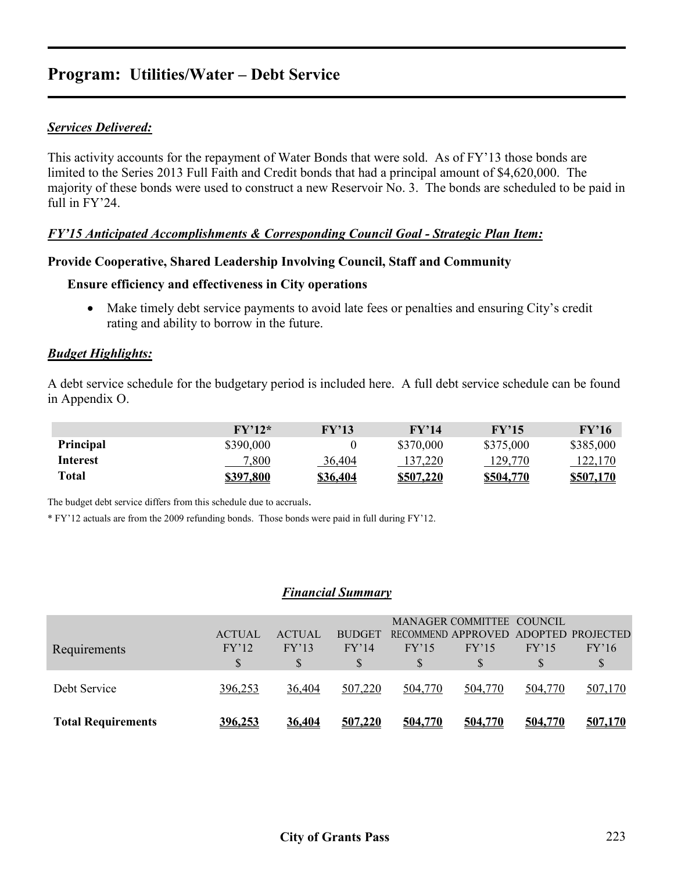# **Program: Utilities/Water – Debt Service**

# *Services Delivered:*

This activity accounts for the repayment of Water Bonds that were sold. As of FY'13 those bonds are limited to the Series 2013 Full Faith and Credit bonds that had a principal amount of \$4,620,000. The majority of these bonds were used to construct a new Reservoir No. 3. The bonds are scheduled to be paid in full in FY'24

# *FY'15 Anticipated Accomplishments & Corresponding Council Goal - Strategic Plan Item:*

#### **Provide Cooperative, Shared Leadership Involving Council, Staff and Community**

# **Ensure efficiency and effectiveness in City operations**

• Make timely debt service payments to avoid late fees or penalties and ensuring City's credit rating and ability to borrow in the future.

#### *Budget Highlights:*

A debt service schedule for the budgetary period is included here. A full debt service schedule can be found in Appendix O.

|           | $\rm FV'12*$     | FY'13           | FY'14            | FY'15     | $\rm FV'16$ |
|-----------|------------------|-----------------|------------------|-----------|-------------|
| Principal | \$390,000        |                 | \$370,000        | \$375,000 | \$385,000   |
| Interest  | 7,800            | 36,404          | 137,220          | 129,770   | 122,170     |
| Total     | <u>\$397,800</u> | <u>\$36,404</u> | <u>\$507.220</u> | \$504.770 | \$507.170   |

The budget debt service differs from this schedule due to accruals.

\* FY'12 actuals are from the 2009 refunding bonds. Those bonds were paid in full during FY'12.

#### *Financial Summary*

| <b>Total Requirements</b> | 396.253       | 36,404        | 507.220       | 504,770 | 504.770                   | 504,770 | 507,170                              |
|---------------------------|---------------|---------------|---------------|---------|---------------------------|---------|--------------------------------------|
| Debt Service              | 396,253       | 36,404        | 507,220       | 504,770 | 504,770                   | 504,770 | 507,170                              |
|                           | S             |               |               |         |                           |         | S                                    |
| Requirements              | FY'12         | FY'13         | FY'14         | FY'15   | FY'15                     | FY'15   | FY'16                                |
|                           | <b>ACTUAL</b> | <b>ACTUAL</b> | <b>BUDGET</b> |         |                           |         | RECOMMEND APPROVED ADOPTED PROJECTED |
|                           |               |               |               |         | MANAGER COMMITTEE COUNCIL |         |                                      |
|                           |               |               |               |         |                           |         |                                      |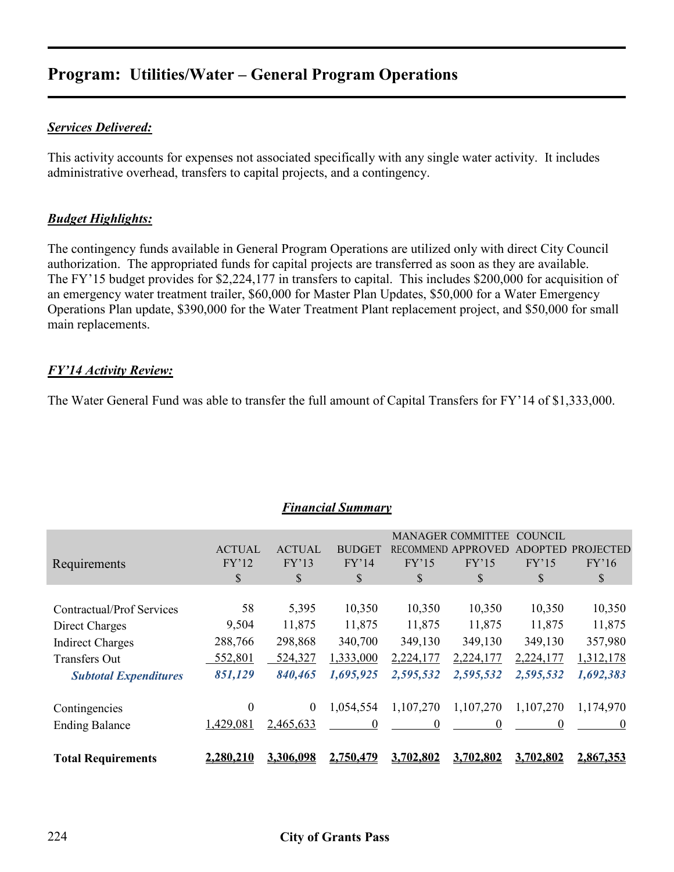# **Program: Utilities/Water – General Program Operations**

# *Services Delivered:*

This activity accounts for expenses not associated specifically with any single water activity. It includes administrative overhead, transfers to capital projects, and a contingency.

# *Budget Highlights:*

The contingency funds available in General Program Operations are utilized only with direct City Council authorization. The appropriated funds for capital projects are transferred as soon as they are available. The FY'15 budget provides for \$2,224,177 in transfers to capital. This includes \$200,000 for acquisition of an emergency water treatment trailer, \$60,000 for Master Plan Updates, \$50,000 for a Water Emergency Operations Plan update, \$390,000 for the Water Treatment Plant replacement project, and \$50,000 for small main replacements.

# *FY'14 Activity Review:*

The Water General Fund was able to transfer the full amount of Capital Transfers for FY'14 of \$1,333,000.

*Financial Summary*

|                                  |               |                  |                  |           | <b>MANAGER COMMITTEE</b> | COUNCIL   |                  |
|----------------------------------|---------------|------------------|------------------|-----------|--------------------------|-----------|------------------|
|                                  | <b>ACTUAL</b> | <b>ACTUAL</b>    | <b>BUDGET</b>    | RECOMMEND | <b>APPROVE</b>           |           | <b>PROJECTED</b> |
| Requirements                     | FY'12         | FY'13            | FY'14            | FY'15     | FY'15                    | FY'15     | FY'16            |
|                                  | \$            | \$               | \$               | \$        | \$                       | \$        | \$               |
|                                  |               |                  |                  |           |                          |           |                  |
| <b>Contractual/Prof Services</b> | 58            | 5,395            | 10,350           | 10,350    | 10,350                   | 10,350    | 10,350           |
| Direct Charges                   | 9,504         | 11,875           | 11,875           | 11,875    | 11,875                   | 11,875    | 11,875           |
| <b>Indirect Charges</b>          | 288,766       | 298,868          | 340,700          | 349,130   | 349,130                  | 349,130   | 357,980          |
| <b>Transfers Out</b>             | 552,801       | 524,327          | 1,333,000        | 2,224,177 | 2,224,177                | 2,224,177 | 1,312,178        |
| <b>Subtotal Expenditures</b>     | 851,129       | 840,465          | 1,695,925        | 2,595,532 | 2,595,532                | 2,595,532 | 1,692,383        |
|                                  |               |                  |                  |           |                          |           |                  |
| Contingencies                    | 0             | $\boldsymbol{0}$ | 1,054,554        | 1,107,270 | 1,107,270                | 1,107,270 | 1,174,970        |
| <b>Ending Balance</b>            | 1,429,081     | 2,465,633        | $\theta$         | 0         | $\theta$                 | 0         | $\theta$         |
| <b>Total Requirements</b>        | 2,280,210     | 3.306.098        | <u>2.750.479</u> | 3.702.802 | 3.702.802                | 3.702.802 | 2.867.353        |

# 224 **City of Grants Pass**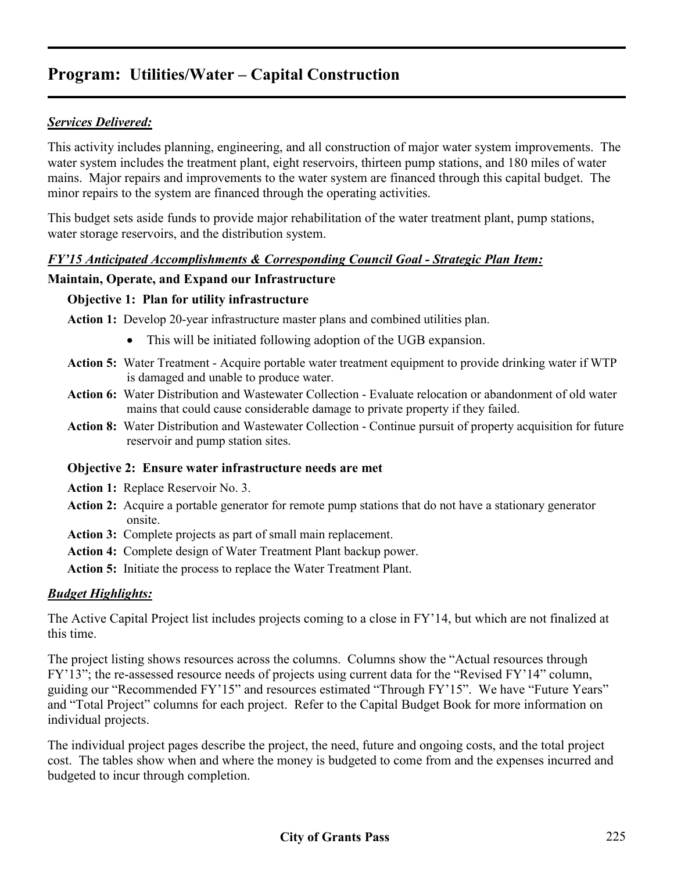# *Services Delivered:*

This activity includes planning, engineering, and all construction of major water system improvements. The water system includes the treatment plant, eight reservoirs, thirteen pump stations, and 180 miles of water mains. Major repairs and improvements to the water system are financed through this capital budget. The minor repairs to the system are financed through the operating activities.

This budget sets aside funds to provide major rehabilitation of the water treatment plant, pump stations, water storage reservoirs, and the distribution system.

# *FY'15 Anticipated Accomplishments & Corresponding Council Goal - Strategic Plan Item:*

# **Maintain, Operate, and Expand our Infrastructure**

#### **Objective 1: Plan for utility infrastructure**

**Action 1:** Develop 20-year infrastructure master plans and combined utilities plan.

- This will be initiated following adoption of the UGB expansion.
- **Action 5:** Water Treatment Acquire portable water treatment equipment to provide drinking water if WTP is damaged and unable to produce water.
- **Action 6:** Water Distribution and Wastewater Collection Evaluate relocation or abandonment of old water mains that could cause considerable damage to private property if they failed.
- **Action 8:** Water Distribution and Wastewater Collection Continue pursuit of property acquisition for future reservoir and pump station sites.

# **Objective 2: Ensure water infrastructure needs are met**

**Action 1:** Replace Reservoir No. 3.

- **Action 2:** Acquire a portable generator for remote pump stations that do not have a stationary generator onsite.
- **Action 3:** Complete projects as part of small main replacement.
- **Action 4:** Complete design of Water Treatment Plant backup power.
- **Action 5:** Initiate the process to replace the Water Treatment Plant.

# *Budget Highlights:*

The Active Capital Project list includes projects coming to a close in FY'14, but which are not finalized at this time.

The project listing shows resources across the columns. Columns show the "Actual resources through FY'13"; the re-assessed resource needs of projects using current data for the "Revised FY'14" column, guiding our "Recommended FY'15" and resources estimated "Through FY'15". We have "Future Years" and "Total Project" columns for each project. Refer to the Capital Budget Book for more information on individual projects.

The individual project pages describe the project, the need, future and ongoing costs, and the total project cost. The tables show when and where the money is budgeted to come from and the expenses incurred and budgeted to incur through completion.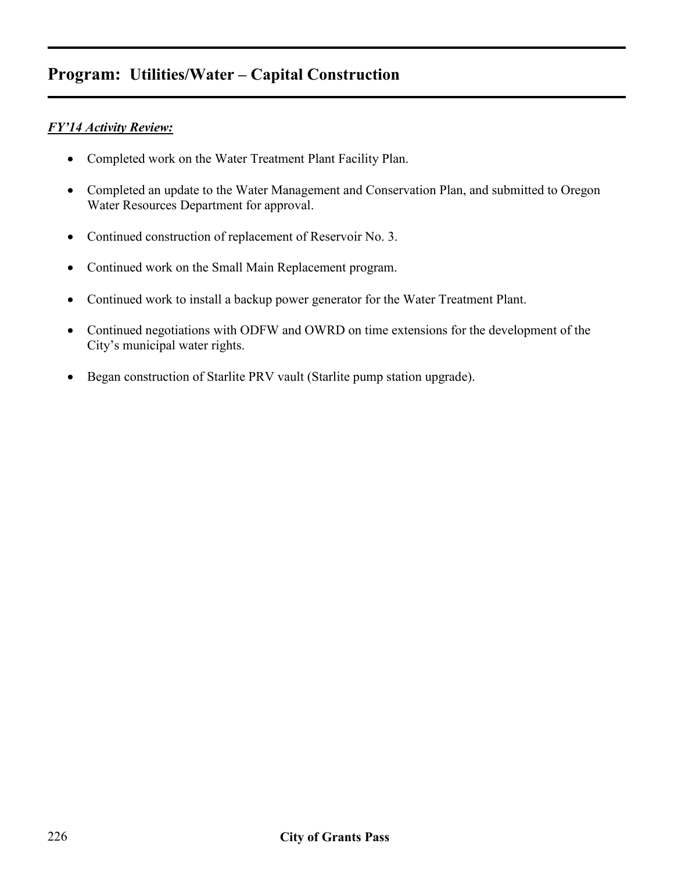# *FY'14 Activity Review:*

- Completed work on the Water Treatment Plant Facility Plan.
- Completed an update to the Water Management and Conservation Plan, and submitted to Oregon Water Resources Department for approval.
- Continued construction of replacement of Reservoir No. 3.
- Continued work on the Small Main Replacement program.
- Continued work to install a backup power generator for the Water Treatment Plant.
- Continued negotiations with ODFW and OWRD on time extensions for the development of the City's municipal water rights.
- Began construction of Starlite PRV vault (Starlite pump station upgrade).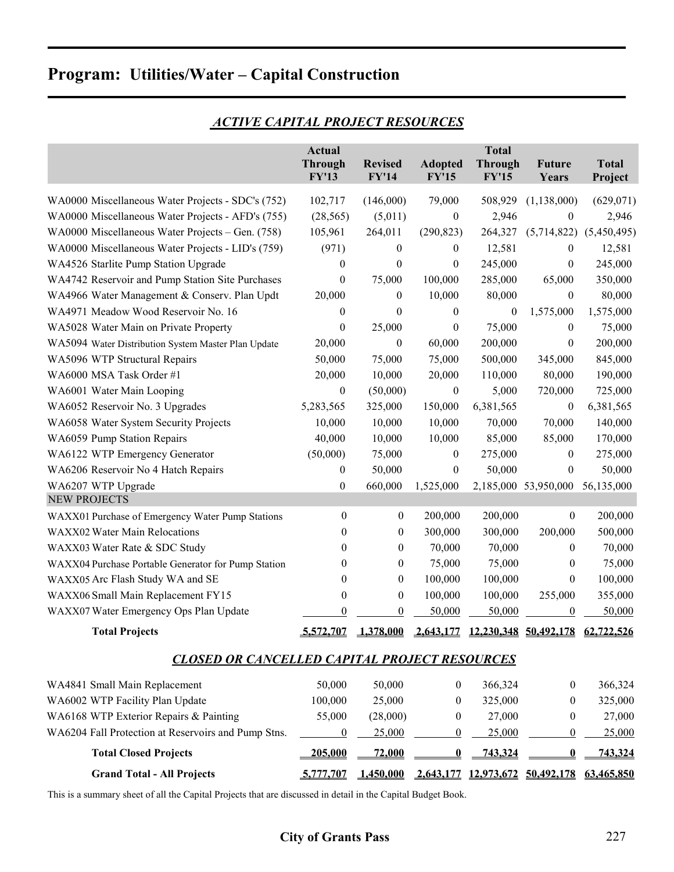|                                                      | <b>Actual</b><br><b>Through</b><br><b>FY'13</b> | <b>Revised</b><br><b>FY'14</b> | <b>Adopted</b><br><b>FY'15</b> | <b>Total</b><br><b>Through</b><br><b>FY'15</b> | <b>Future</b><br>Years                     | <b>Total</b><br>Project |  |  |  |  |
|------------------------------------------------------|-------------------------------------------------|--------------------------------|--------------------------------|------------------------------------------------|--------------------------------------------|-------------------------|--|--|--|--|
| WA0000 Miscellaneous Water Projects - SDC's (752)    | 102,717                                         | (146,000)                      | 79,000                         | 508,929                                        | (1, 138, 000)                              | (629, 071)              |  |  |  |  |
| WA0000 Miscellaneous Water Projects - AFD's (755)    | (28, 565)                                       | (5,011)                        | $\boldsymbol{0}$               | 2,946                                          | $\boldsymbol{0}$                           | 2,946                   |  |  |  |  |
| WA0000 Miscellaneous Water Projects – Gen. (758)     | 105,961                                         | 264,011                        | (290, 823)                     | 264,327                                        | (5,714,822)                                | (5,450,495)             |  |  |  |  |
| WA0000 Miscellaneous Water Projects - LID's (759)    | (971)                                           | 0                              | $\theta$                       | 12,581                                         | $\boldsymbol{0}$                           | 12,581                  |  |  |  |  |
| WA4526 Starlite Pump Station Upgrade                 | 0                                               | 0                              | $\mathbf{0}$                   | 245,000                                        | $\boldsymbol{0}$                           | 245,000                 |  |  |  |  |
| WA4742 Reservoir and Pump Station Site Purchases     | $\boldsymbol{0}$                                | 75,000                         | 100,000                        | 285,000                                        | 65,000                                     | 350,000                 |  |  |  |  |
| WA4966 Water Management & Conserv. Plan Updt         | 20,000                                          | 0                              | 10,000                         | 80,000                                         | $\boldsymbol{0}$                           | 80,000                  |  |  |  |  |
| WA4971 Meadow Wood Reservoir No. 16                  | $\boldsymbol{0}$                                | 0                              | $\mathbf{0}$                   | 0                                              | 1,575,000                                  | 1,575,000               |  |  |  |  |
| WA5028 Water Main on Private Property                | $\boldsymbol{0}$                                | 25,000                         | $\boldsymbol{0}$               | 75,000                                         | $\boldsymbol{0}$                           | 75,000                  |  |  |  |  |
| WA5094 Water Distribution System Master Plan Update  | 20,000                                          | 0                              | 60,000                         | 200,000                                        | $\boldsymbol{0}$                           | 200,000                 |  |  |  |  |
| WA5096 WTP Structural Repairs                        | 50,000                                          | 75,000                         | 75,000                         | 500,000                                        | 345,000                                    | 845,000                 |  |  |  |  |
| WA6000 MSA Task Order #1                             | 20,000                                          | 10,000                         | 20,000                         | 110,000                                        | 80,000                                     | 190,000                 |  |  |  |  |
| WA6001 Water Main Looping                            | $\boldsymbol{0}$                                | (50,000)                       | $\boldsymbol{0}$               | 5,000                                          | 720,000                                    | 725,000                 |  |  |  |  |
| WA6052 Reservoir No. 3 Upgrades                      | 5,283,565                                       | 325,000                        | 150,000                        | 6,381,565                                      | $\boldsymbol{0}$                           | 6,381,565               |  |  |  |  |
| WA6058 Water System Security Projects                | 10,000                                          | 10,000                         | 10,000                         | 70,000                                         | 70,000                                     | 140,000                 |  |  |  |  |
| WA6059 Pump Station Repairs                          | 40,000                                          | 10,000                         | 10,000                         | 85,000                                         | 85,000                                     | 170,000                 |  |  |  |  |
| WA6122 WTP Emergency Generator                       | (50,000)                                        | 75,000                         | $\boldsymbol{0}$               | 275,000                                        | $\boldsymbol{0}$                           | 275,000                 |  |  |  |  |
| WA6206 Reservoir No 4 Hatch Repairs                  | 0                                               | 50,000                         | $\boldsymbol{0}$               | 50,000                                         | $\boldsymbol{0}$                           | 50,000                  |  |  |  |  |
| WA6207 WTP Upgrade                                   | $\boldsymbol{0}$                                | 660,000                        | 1,525,000                      |                                                | 2,185,000 53,950,000                       | 56,135,000              |  |  |  |  |
| <b>NEW PROJECTS</b>                                  |                                                 |                                |                                |                                                |                                            |                         |  |  |  |  |
| WAXX01 Purchase of Emergency Water Pump Stations     | $\boldsymbol{0}$                                | $\boldsymbol{0}$               | 200,000                        | 200,000                                        | $\boldsymbol{0}$                           | 200,000                 |  |  |  |  |
| WAXX02 Water Main Relocations                        | 0                                               | $\bf{0}$                       | 300,000                        | 300,000                                        | 200,000                                    | 500,000                 |  |  |  |  |
| WAXX03 Water Rate & SDC Study                        | 0                                               | $\bf{0}$                       | 70,000                         | 70,000                                         | $\boldsymbol{0}$                           | 70,000                  |  |  |  |  |
| WAXX04 Purchase Portable Generator for Pump Station  | 0                                               | $\bf{0}$                       | 75,000                         | 75,000                                         | $\boldsymbol{0}$                           | 75,000                  |  |  |  |  |
| WAXX05 Arc Flash Study WA and SE                     | 0                                               | $\boldsymbol{0}$               | 100,000                        | 100,000                                        | $\mathbf{0}$                               | 100,000                 |  |  |  |  |
| WAXX06 Small Main Replacement FY15                   | 0                                               | $\boldsymbol{0}$               | 100,000                        | 100,000                                        | 255,000                                    | 355,000                 |  |  |  |  |
| WAXX07 Water Emergency Ops Plan Update               | $\theta$                                        | $\theta$                       | 50,000                         | 50,000                                         | $\boldsymbol{0}$                           | 50,000                  |  |  |  |  |
| <b>Total Projects</b>                                | 5 577 707                                       | 1,378,000                      |                                |                                                | 2,643,177 12,230,348 50,492,178 62,722,526 |                         |  |  |  |  |
| <b>CLOSED OR CANCELLED CAPITAL PROJECT RESOURCES</b> |                                                 |                                |                                |                                                |                                            |                         |  |  |  |  |
| WA4841 Small Main Replacement                        | 50,000                                          | 50,000                         | 0                              | 366,324                                        | $\boldsymbol{0}$                           | 366,324                 |  |  |  |  |
| WA6002 WTP Facility Plan Update                      | 100,000                                         | 25,000                         | $\theta$                       | 325,000                                        | $\theta$                                   | 325,000                 |  |  |  |  |
| WA6168 WTP Exterior Repairs & Painting               | 55,000                                          | (28,000)                       | $\boldsymbol{0}$               | 27,000                                         | $\theta$                                   | 27,000                  |  |  |  |  |
| WA6204 Fall Protection at Reservoirs and Pump Stns.  | $\overline{0}$                                  | 25,000                         | $\boldsymbol{0}$               | 25,000                                         | $\boldsymbol{0}$                           | 25,000                  |  |  |  |  |
| <b>Total Closed Projects</b>                         | 205,000                                         | 72,000                         | $\bf{0}$                       | 743,324                                        | $\boldsymbol{0}$                           | 743,324                 |  |  |  |  |
| <b>Grand Total - All Projects</b>                    | 5,777,707                                       | 1,450,000                      |                                |                                                | 2,643,177 12,973,672 50,492,178            | 63,465,850              |  |  |  |  |

# *ACTIVE CAPITAL PROJECT RESOURCES*

This is a summary sheet of all the Capital Projects that are discussed in detail in the Capital Budget Book.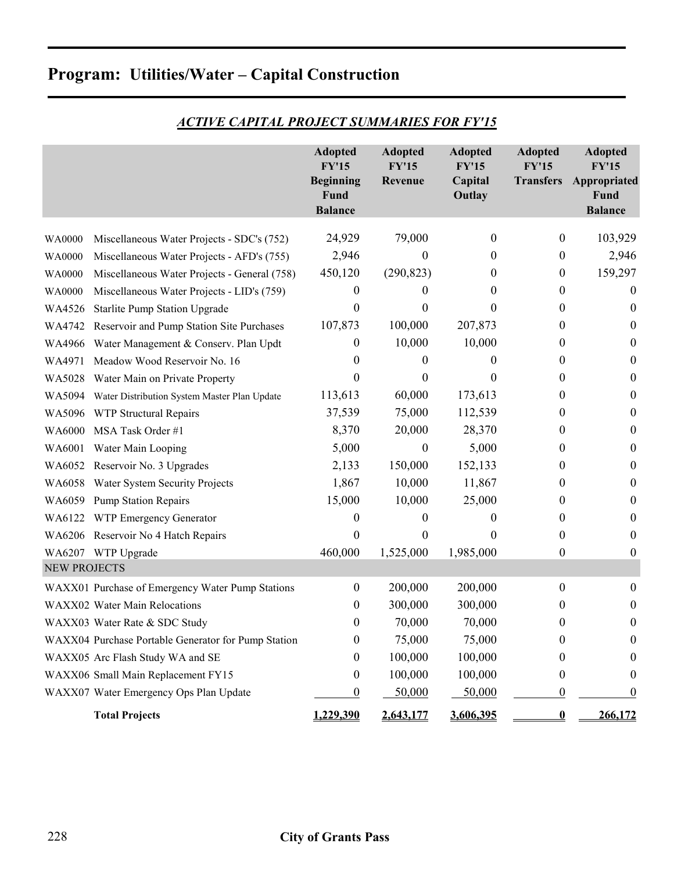|                     |                                                     | <b>Adopted</b>                   | <b>Adopted</b>          | <b>Adopted</b>          | <b>Adopted</b>                   | <b>Adopted</b>               |
|---------------------|-----------------------------------------------------|----------------------------------|-------------------------|-------------------------|----------------------------------|------------------------------|
|                     |                                                     | <b>FY'15</b><br><b>Beginning</b> | <b>FY'15</b><br>Revenue | <b>FY'15</b><br>Capital | <b>FY'15</b><br><b>Transfers</b> | <b>FY'15</b><br>Appropriated |
|                     |                                                     | Fund                             |                         | Outlay                  |                                  | Fund                         |
|                     |                                                     | <b>Balance</b>                   |                         |                         |                                  | <b>Balance</b>               |
| WA0000              | Miscellaneous Water Projects - SDC's (752)          | 24,929                           | 79,000                  | $\boldsymbol{0}$        | $\boldsymbol{0}$                 | 103,929                      |
| WA0000              | Miscellaneous Water Projects - AFD's (755)          | 2,946                            | 0                       | $\theta$                | $\theta$                         | 2,946                        |
| WA0000              | Miscellaneous Water Projects - General (758)        | 450,120                          | (290, 823)              | $\theta$                | $\boldsymbol{0}$                 | 159,297                      |
| <b>WA0000</b>       | Miscellaneous Water Projects - LID's (759)          | 0                                | $\theta$                | $\theta$                | $\theta$                         | $\boldsymbol{0}$             |
| WA4526              | <b>Starlite Pump Station Upgrade</b>                | $\boldsymbol{0}$                 | 0                       | $\theta$                | $\theta$                         | 0                            |
| WA4742              | Reservoir and Pump Station Site Purchases           | 107,873                          | 100,000                 | 207,873                 | $\theta$                         | 0                            |
| WA4966              | Water Management & Conserv. Plan Updt               | 0                                | 10,000                  | 10,000                  | $\theta$                         | $\boldsymbol{0}$             |
| WA4971              | Meadow Wood Reservoir No. 16                        | 0                                | $\theta$                | $\theta$                | $\theta$                         | 0                            |
| WA5028              | Water Main on Private Property                      | $\theta$                         | 0                       | $\theta$                | $\theta$                         | $\boldsymbol{0}$             |
| WA5094              | Water Distribution System Master Plan Update        | 113,613                          | 60,000                  | 173,613                 | $\theta$                         | $\boldsymbol{0}$             |
| WA5096              | WTP Structural Repairs                              | 37,539                           | 75,000                  | 112,539                 | $\theta$                         | $\boldsymbol{0}$             |
| WA6000              | MSA Task Order #1                                   | 8,370                            | 20,000                  | 28,370                  | $\theta$                         | $\boldsymbol{0}$             |
| WA6001              | Water Main Looping                                  | 5,000                            | $\theta$                | 5,000                   | $\theta$                         | $\theta$                     |
| WA6052              | Reservoir No. 3 Upgrades                            | 2,133                            | 150,000                 | 152,133                 | $\theta$                         | $\boldsymbol{0}$             |
| WA6058              | Water System Security Projects                      | 1,867                            | 10,000                  | 11,867                  | $\theta$                         | $\boldsymbol{0}$             |
| WA6059              | <b>Pump Station Repairs</b>                         | 15,000                           | 10,000                  | 25,000                  | $\theta$                         | $\boldsymbol{0}$             |
| WA6122              | WTP Emergency Generator                             | 0                                | 0                       | $\theta$                | $\theta$                         | $\boldsymbol{0}$             |
|                     | WA6206 Reservoir No 4 Hatch Repairs                 | 0                                | 0                       | $\theta$                | $\theta$                         | $\boldsymbol{0}$             |
|                     | WA6207 WTP Upgrade                                  | 460,000                          | 1,525,000               | 1,985,000               | $\boldsymbol{0}$                 | $\boldsymbol{0}$             |
| <b>NEW PROJECTS</b> |                                                     |                                  |                         |                         |                                  |                              |
|                     | WAXX01 Purchase of Emergency Water Pump Stations    | $\boldsymbol{0}$                 | 200,000                 | 200,000                 | $\boldsymbol{0}$                 | $\mathbf{0}$                 |
|                     | WAXX02 Water Main Relocations                       | 0                                | 300,000                 | 300,000                 | $\theta$                         | $\boldsymbol{0}$             |
|                     | WAXX03 Water Rate & SDC Study                       | $\boldsymbol{0}$                 | 70,000                  | 70,000                  | $\boldsymbol{0}$                 | $\boldsymbol{0}$             |
|                     | WAXX04 Purchase Portable Generator for Pump Station | 0                                | 75,000                  | 75,000                  | $\theta$                         | 0                            |
|                     | WAXX05 Arc Flash Study WA and SE                    | 0                                | 100,000                 | 100,000                 | 0                                | 0                            |
|                     | WAXX06 Small Main Replacement FY15                  | 0                                | 100,000                 | 100,000                 | $\theta$                         | $\boldsymbol{0}$             |
|                     | WAXX07 Water Emergency Ops Plan Update              | 0                                | 50,000                  | 50,000                  | 0                                | 0                            |
|                     | <b>Total Projects</b>                               | 1,229,390                        | 2,643,177               | 3,606,395               | $\bf{0}$                         | 266,172                      |

*ACTIVE CAPITAL PROJECT SUMMARIES FOR FY'15* 

# **Program: Utilities/Water – Capital Construction**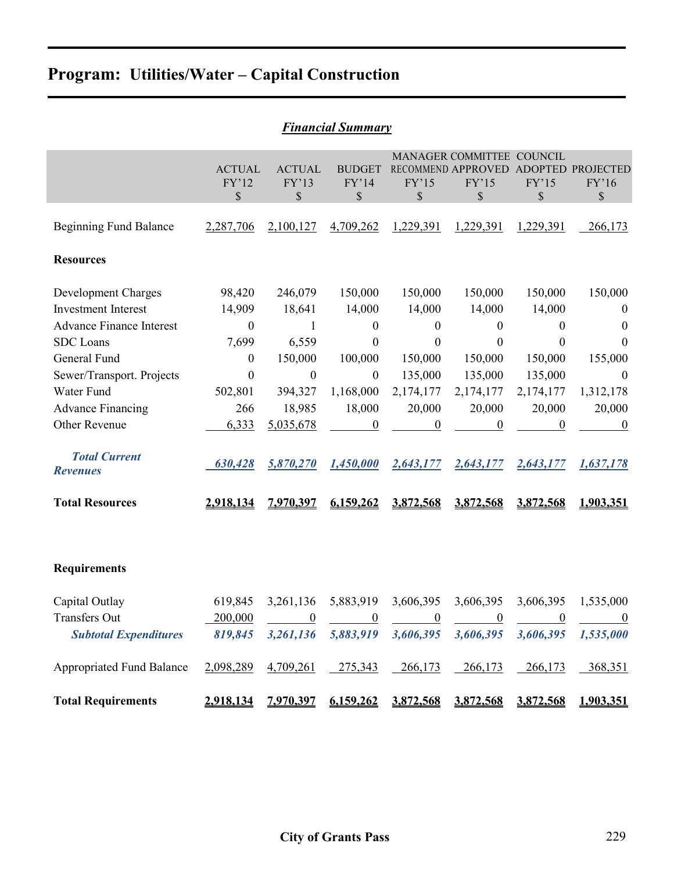|                                                          |                              |                               | г типсии эиттигү              |                               |                                                                |                               |                                 |
|----------------------------------------------------------|------------------------------|-------------------------------|-------------------------------|-------------------------------|----------------------------------------------------------------|-------------------------------|---------------------------------|
|                                                          | <b>ACTUAL</b><br>FY'12<br>\$ | <b>ACTUAL</b><br>FY'13<br>\$  | <b>BUDGET</b><br>FY'14<br>\$  | FY'15<br>\$                   | MANAGER COMMITTEE COUNCIL<br>RECOMMEND APPROVED<br>FY'15<br>\$ | <b>ADOPTED</b><br>FY'15<br>\$ | <b>PROJECTED</b><br>FY'16<br>\$ |
| <b>Beginning Fund Balance</b>                            | 2,287,706                    | 2,100,127                     | 4,709,262                     | 1,229,391                     | 1,229,391                                                      | 1,229,391                     | 266,173                         |
| <b>Resources</b>                                         |                              |                               |                               |                               |                                                                |                               |                                 |
| <b>Development Charges</b><br><b>Investment Interest</b> | 98,420<br>14,909             | 246,079<br>18,641             | 150,000<br>14,000             | 150,000<br>14,000             | 150,000<br>14,000                                              | 150,000<br>14,000             | 150,000<br>$\theta$             |
| <b>Advance Finance Interest</b><br><b>SDC</b> Loans      | $\boldsymbol{0}$<br>7,699    | 1<br>6,559                    | $\overline{0}$<br>0           | 0<br>0                        | 0<br>0                                                         | 0<br>0                        | $\theta$<br>$\theta$            |
| General Fund<br>Sewer/Transport. Projects                | $\boldsymbol{0}$<br>$\theta$ | 150,000<br>$\boldsymbol{0}$   | 100,000<br>$\boldsymbol{0}$   | 150,000<br>135,000            | 150,000<br>135,000                                             | 150,000<br>135,000            | 155,000<br>$\theta$             |
| Water Fund                                               | 502,801                      | 394,327                       | 1,168,000                     | 2,174,177                     | 2,174,177                                                      | 2,174,177                     | 1,312,178                       |
| <b>Advance Financing</b><br>Other Revenue                | 266<br>6,333                 | 18,985<br>5,035,678           | 18,000<br>$\overline{0}$      | 20,000<br>$\boldsymbol{0}$    | 20,000<br>$\boldsymbol{0}$                                     | 20,000<br>$\boldsymbol{0}$    | 20,000<br>$\overline{0}$        |
| <b>Total Current</b><br><b>Revenues</b>                  | 630,428                      | 5,870,270                     | 1,450,000                     | 2,643,177                     | 2,643,177                                                      | 2,643,177                     | 1,637,178                       |
| <b>Total Resources</b>                                   | 2,918,134                    | 7,970,397                     | 6,159,262                     | 3,872,568                     | 3,872,568                                                      | 3,872,568                     | 1,903,351                       |
|                                                          |                              |                               |                               |                               |                                                                |                               |                                 |
| <b>Requirements</b>                                      |                              |                               |                               |                               |                                                                |                               |                                 |
| Capital Outlay<br><b>Transfers Out</b>                   | 619,845<br>200,000           | 3,261,136<br>$\boldsymbol{0}$ | 5,883,919<br>$\boldsymbol{0}$ | 3,606,395<br>$\boldsymbol{0}$ | 3,606,395<br>$\boldsymbol{0}$                                  | 3,606,395<br>$\boldsymbol{0}$ | 1,535,000<br>$\boldsymbol{0}$   |
| <b>Subtotal Expenditures</b>                             | 819,845                      | 3,261,136                     | 5,883,919                     | 3,606,395                     | 3,606,395                                                      | 3,606,395                     | 1,535,000                       |
| <b>Appropriated Fund Balance</b>                         | 2,098,289                    | 4,709,261                     | 275,343                       | 266,173                       | 266,173                                                        | 266,173                       | 368,351                         |
| <b>Total Requirements</b>                                | 2,918,134                    | 7,970,397                     | 6,159,262                     | 3,872,568                     | 3,872,568                                                      | 3,872,568                     | 1,903,351                       |

# *Financial Summary*